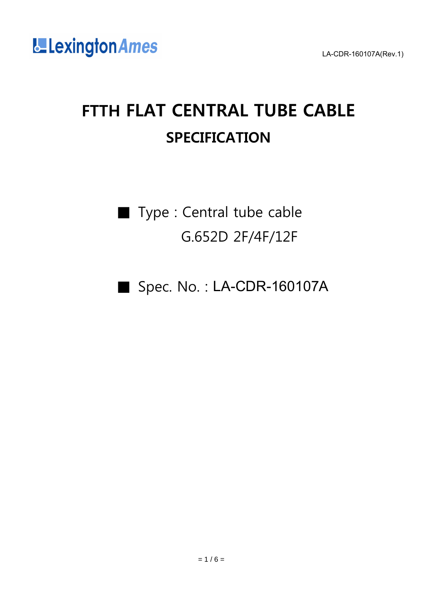

# FTTH FLAT CENTRAL TUBE CABLE **SPECIFICATION**

■ Type : Central tube cable G.652D 2F/4F/12F

■ Spec. No.: LA-CDR-160107A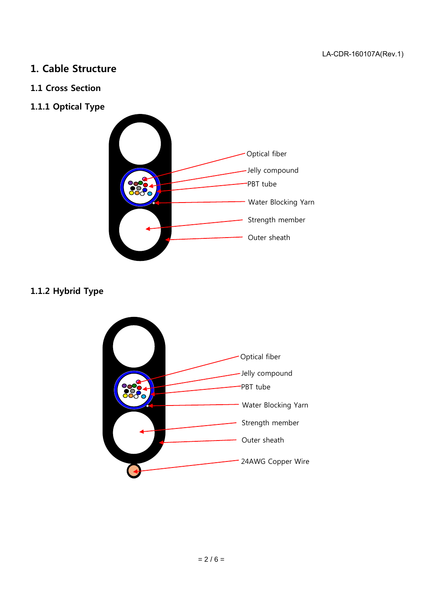#### 1. Cable Structure

#### 1.1 Cross Section

1.1.1 Optical Type



# 1.1.2 Hybrid Type

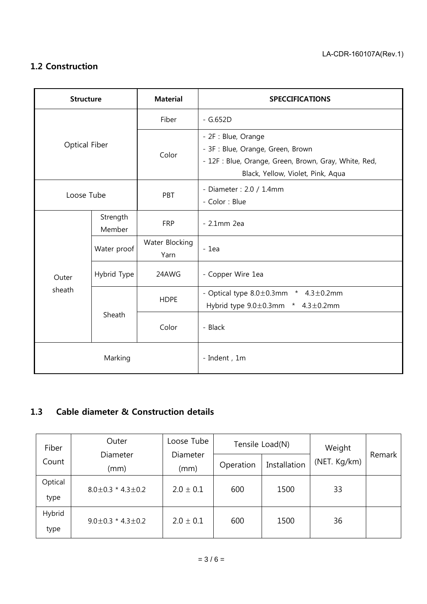### 1.2 Construction

| <b>Structure</b>     |                    | <b>Material</b>        | <b>SPECCIFICATIONS</b>                                                                                                                                 |  |  |
|----------------------|--------------------|------------------------|--------------------------------------------------------------------------------------------------------------------------------------------------------|--|--|
|                      |                    | Fiber                  | $-$ G.652D                                                                                                                                             |  |  |
| <b>Optical Fiber</b> |                    | Color                  | - 2F : Blue, Orange<br>- 3F : Blue, Orange, Green, Brown<br>- 12F : Blue, Orange, Green, Brown, Gray, White, Red,<br>Black, Yellow, Violet, Pink, Aqua |  |  |
| Loose Tube           |                    | PBT                    | - Diameter: 2.0 / 1.4mm<br>- Color : Blue                                                                                                              |  |  |
|                      | Strength<br>Member | <b>FRP</b>             | $-2.1$ mm $2ea$                                                                                                                                        |  |  |
|                      | Water proof        | Water Blocking<br>Yarn | $-1ea$                                                                                                                                                 |  |  |
| Outer                | Hybrid Type        | 24AWG                  | - Copper Wire 1ea                                                                                                                                      |  |  |
| sheath               |                    | <b>HDPE</b>            | - Optical type $8.0 \pm 0.3$ mm<br>* $4.3 \pm 0.2$ mm<br>Hybrid type $9.0 \pm 0.3$ mm * $4.3 \pm 0.2$ mm                                               |  |  |
|                      | Sheath             | Color                  | - Black                                                                                                                                                |  |  |
| Marking              |                    |                        | - Indent, 1m                                                                                                                                           |  |  |

# 1.3 Cable diameter & Construction details

| Fiber           | Outer                         | Loose Tube       |           | Tensile Load(N) | Weight       | Remark |
|-----------------|-------------------------------|------------------|-----------|-----------------|--------------|--------|
| Count           | Diameter<br>(mm)              | Diameter<br>(mm) | Operation | Installation    | (NET. Kg/km) |        |
| Optical<br>type | $8.0 \pm 0.3$ * 4.3 $\pm$ 0.2 | $2.0 \pm 0.1$    | 600       | 1500            | 33           |        |
| Hybrid<br>type  | $9.0 \pm 0.3$ * 4.3 $\pm$ 0.2 | $2.0 \pm 0.1$    | 600       | 1500            | 36           |        |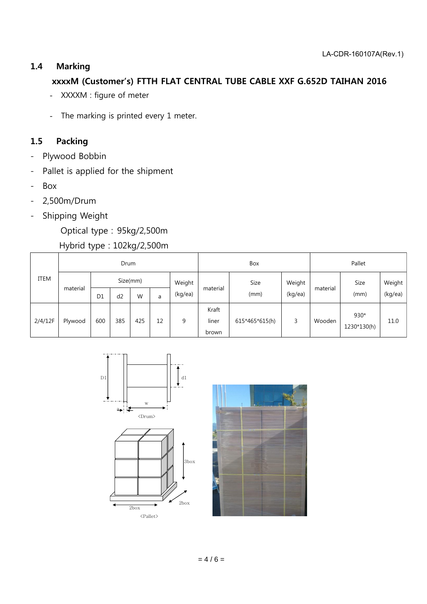#### 1.4 Marking

#### xxxxM (Customer's) FTTH FLAT CENTRAL TUBE CABLE XXF G.652D TAIHAN 2016

- XXXXM : figure of meter
- The marking is printed every 1 meter.

#### 1.5 Packing

- Plywood Bobbin
- Pallet is applied for the shipment
- Box
- 2,500m/Drum
- Shipping Weight

Optical type : 95kg/2,500m

#### Hybrid type : 102kg/2,500m

| <b>ITEM</b> | Drum     |                |     |     |        |          | Box                     |                |          | Pallet |                       |         |
|-------------|----------|----------------|-----|-----|--------|----------|-------------------------|----------------|----------|--------|-----------------------|---------|
|             | material | Size(mm)       |     |     | Weight | material | Size                    | Weight         | material | Size   | Weight                |         |
|             |          | D <sub>1</sub> | d2  | W   | a      | (kg/ea)  |                         | (mm)           | (kg/ea)  |        | (mm)                  | (kg/ea) |
| 2/4/12F     | Plywood  | 600            | 385 | 425 | 12     | 9        | Kraft<br>liner<br>brown | 615*465*615(h) | 3        | Wooden | $930*$<br>1230*130(h) | 11.0    |





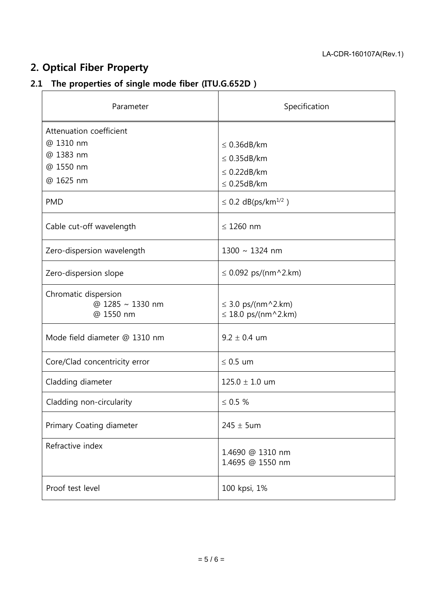# 2. Optical Fiber Property

# 2.1 The properties of single mode fiber (ITU.G.652D )

| Parameter                                                                                 | Specification                                                                                                   |  |  |
|-------------------------------------------------------------------------------------------|-----------------------------------------------------------------------------------------------------------------|--|--|
| Attenuation coefficient<br>@ 1310 nm<br>@ 1383 nm<br>@ 1550 nm<br>@ 1625 nm<br><b>PMD</b> | $\leq$ 0.36dB/km<br>$\leq$ 0.35dB/km<br>$\leq$ 0.22dB/km<br>$\leq$ 0.25dB/km<br>≤ 0.2 dB(ps/km <sup>1/2</sup> ) |  |  |
| Cable cut-off wavelength                                                                  | $\leq$ 1260 nm                                                                                                  |  |  |
| Zero-dispersion wavelength                                                                | 1300 ~ 1324 nm                                                                                                  |  |  |
| Zero-dispersion slope                                                                     | $\leq$ 0.092 ps/(nm^2.km)                                                                                       |  |  |
| Chromatic dispersion<br>@ 1285 ~ 1330 nm<br>@ 1550 nm                                     | $\leq$ 3.0 ps/(nm^2.km)<br>$\leq$ 18.0 ps/(nm^2.km)                                                             |  |  |
| Mode field diameter @ 1310 nm                                                             | $9.2 \pm 0.4$ um                                                                                                |  |  |
| Core/Clad concentricity error                                                             | $\leq$ 0.5 um                                                                                                   |  |  |
| Cladding diameter                                                                         | $125.0 \pm 1.0$ um                                                                                              |  |  |
| Cladding non-circularity                                                                  | $\leq 0.5 \%$                                                                                                   |  |  |
| Primary Coating diameter                                                                  | $245 \pm 5$ um                                                                                                  |  |  |
| Refractive index                                                                          | 1.4690 @ 1310 nm<br>1.4695 @ 1550 nm                                                                            |  |  |
| Proof test level                                                                          | 100 kpsi, 1%                                                                                                    |  |  |